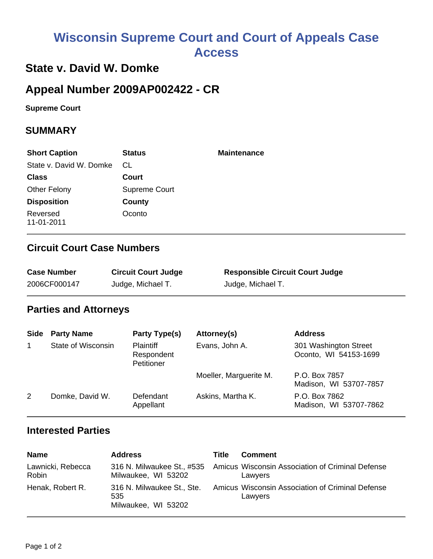# **Wisconsin Supreme Court and Court of Appeals Case Access**

# **State v. David W. Domke**

# **Appeal Number 2009AP002422 - CR**

**Supreme Court** 

#### **SUMMARY**

| <b>Short Caption</b>    | <b>Status</b> | <b>Maintenance</b> |
|-------------------------|---------------|--------------------|
| State v. David W. Domke | CL.           |                    |
| <b>Class</b>            | Court         |                    |
| <b>Other Felony</b>     | Supreme Court |                    |
| <b>Disposition</b>      | County        |                    |
| Reversed<br>11-01-2011  | Oconto        |                    |

### **Circuit Court Case Numbers**

| <b>Case Number</b> | <b>Circuit Court Judge</b> | <b>Responsible Circuit Court Judge</b> |
|--------------------|----------------------------|----------------------------------------|
| 2006CF000147       | Judge, Michael T.          | Judge, Michael T.                      |

#### **Parties and Attorneys**

| <b>Side</b> | <b>Party Name</b>  | Party Type(s)                                | Attorney(s)            | <b>Address</b>                                 |
|-------------|--------------------|----------------------------------------------|------------------------|------------------------------------------------|
|             | State of Wisconsin | <b>Plaintiff</b><br>Respondent<br>Petitioner | Evans, John A.         | 301 Washington Street<br>Oconto, WI 54153-1699 |
|             |                    |                                              | Moeller, Marguerite M. | P.O. Box 7857<br>Madison, WI 53707-7857        |
| 2           | Domke, David W.    | Defendant<br>Appellant                       | Askins, Martha K.      | P.O. Box 7862<br>Madison, WI 53707-7862        |

#### **Interested Parties**

| <b>Name</b>                | <b>Address</b>                                           | Title | <b>Comment</b>                                              |
|----------------------------|----------------------------------------------------------|-------|-------------------------------------------------------------|
| Lawnicki, Rebecca<br>Robin | 316 N. Milwaukee St., #535<br>Milwaukee, WI 53202        |       | Amicus Wisconsin Association of Criminal Defense<br>Lawyers |
| Henak, Robert R.           | 316 N. Milwaukee St., Ste.<br>535<br>Milwaukee, WI 53202 |       | Amicus Wisconsin Association of Criminal Defense<br>Lawyers |